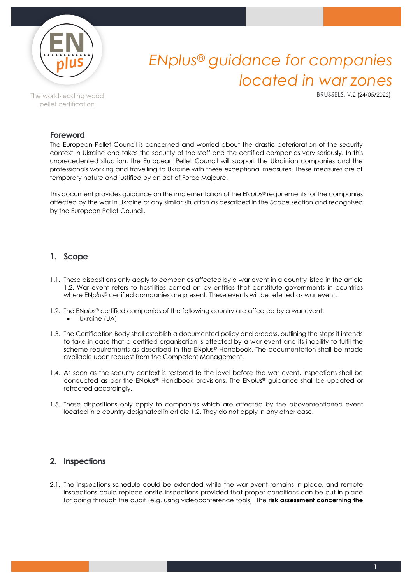

# *ENplus® guidance for companies located in war zones*

BRUSSELS, V.2 (24/05/2022)

## The world-leading wood pellet certification

### **Foreword**

The European Pellet Council is concerned and worried about the drastic deterioration of the security context in Ukraine and takes the security of the staff and the certified companies very seriously. In this unprecedented situation, the European Pellet Council will support the Ukrainian companies and the professionals working and travelling to Ukraine with these exceptional measures. These measures are of temporary nature and justified by an act of Force Majeure.

This document provides guidance on the implementation of the EN*plus*® requirements for the companies affected by the war in Ukraine or any similar situation as described in the Scope section and recognised by the European Pellet Council.

## **1. Scope**

- 1.1. These dispositions only apply to companies affected by a war event in a country listed in the article 1.2. War event refers to hostilities carried on by entities that constitute governments in countries where EN*plus*® certified companies are present. These events will be referred as war event.
- 1.2. The EN*plus*® certified companies of the following country are affected by a war event: • Ukraine (UA).
- 1.3. The Certification Body shall establish a documented policy and process, outlining the steps it intends to take in case that a certified organisation is affected by a war event and its inability to fulfil the scheme requirements as described in the ENplus® Handbook. The documentation shall be made available upon request from the Competent Management.
- 1.4. As soon as the security context is restored to the level before the war event, inspections shall be conducted as per the EN*plus*® Handbook provisions. The EN*plus*® guidance shall be updated or retracted accordingly.
- 1.5. These dispositions only apply to companies which are affected by the abovementioned event located in a country designated in article 1.2. They do not apply in any other case.

### **2. Inspections**

2.1. The inspections schedule could be extended while the war event remains in place, and remote inspections could replace onsite inspections provided that proper conditions can be put in place for going through the audit (e.g. using videoconference tools). The **risk assessment concerning the**